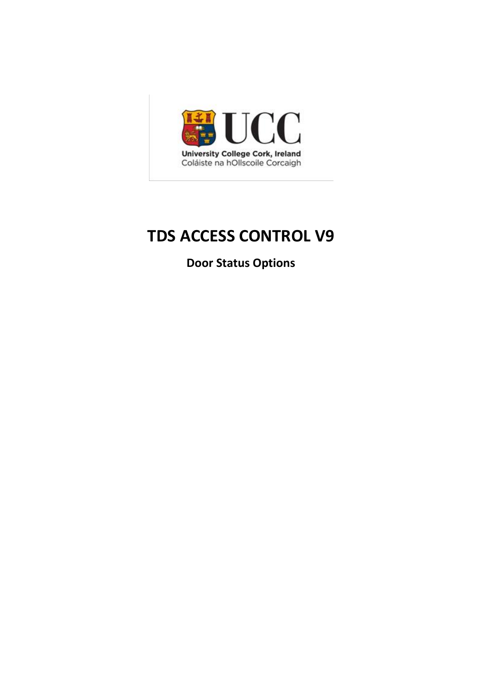

# **TDS ACCESS CONTROL V9**

**Door Status Options**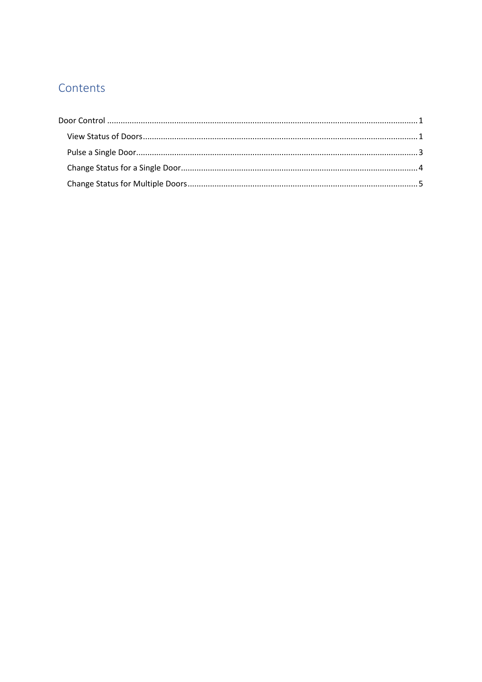# Contents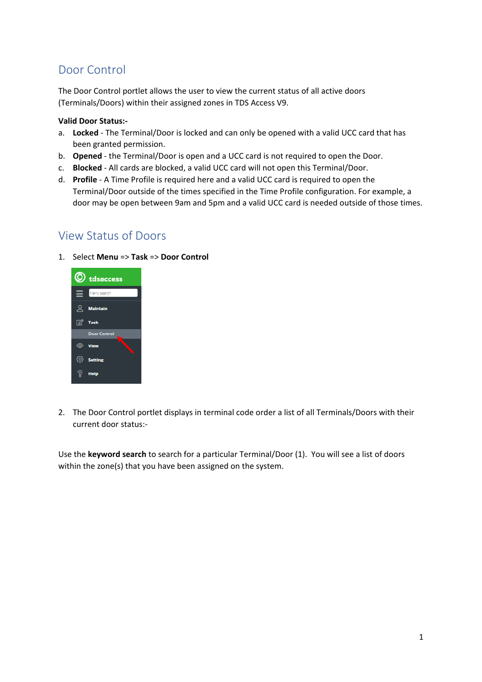## <span id="page-2-0"></span>Door Control

The Door Control portlet allows the user to view the current status of all active doors (Terminals/Doors) within their assigned zones in TDS Access V9.

#### **Valid Door Status:-**

- a. **Locked** The Terminal/Door is locked and can only be opened with a valid UCC card that has been granted permission.
- b. **Opened** the Terminal/Door is open and a UCC card is not required to open the Door.
- c. **Blocked** All cards are blocked, a valid UCC card will not open this Terminal/Door.
- d. **Profile** A Time Profile is required here and a valid UCC card is required to open the Terminal/Door outside of the times specified in the Time Profile configuration. For example, a door may be open between 9am and 5pm and a valid UCC card is needed outside of those times.

## <span id="page-2-1"></span>View Status of Doors

1. Select **Menu** => **Task** => **Door Control**



2. The Door Control portlet displays in terminal code order a list of all Terminals/Doors with their current door status:-

Use the **keyword search** to search for a particular Terminal/Door (1). You will see a list of doors within the zone(s) that you have been assigned on the system.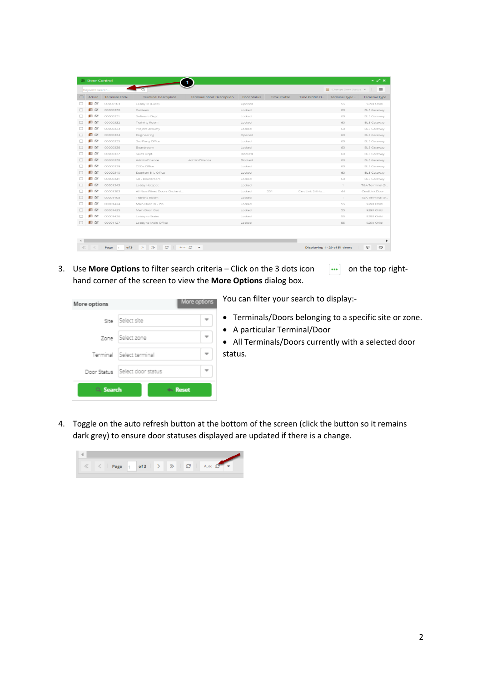|                                    | © Door Control       |                             |                                   |             |                     |                |                         | 人名米                  |
|------------------------------------|----------------------|-----------------------------|-----------------------------------|-------------|---------------------|----------------|-------------------------|----------------------|
| Keyword search                     |                      |                             |                                   |             |                     |                | 画<br>Change Door Status | $\equiv$             |
| Action                             | <b>Terminal Code</b> | <b>Terminal Description</b> | <b>Terminal Short Description</b> | Door Status | <b>Time Profile</b> | Time Profile D | Terminal Type           | <b>Terminal Type</b> |
| $\blacksquare$ $\blacksquare$<br>□ | 00000103             | Lobby In (Card)             |                                   | Opened      |                     |                | 55                      | 9290 Child           |
| $\square$ $\square$                | 00000330             | Canteen                     |                                   | Locked      |                     |                | 60                      | <b>BLE Gateway</b>   |
| 圓∝<br>□                            | 00000331             | Software Dept.              |                                   | Locked      |                     |                | 60                      | <b>BLE Gateway</b>   |
| EX<br>□                            | 00000332             | Training Room               |                                   | Locked      |                     |                | 60                      | <b>BLE Gateway</b>   |
| ■⊘<br>n                            | 00000333             | Project Delivery            |                                   | Locked      |                     |                | 60                      | <b>BLE Gateway</b>   |
| E B<br>□                           | 00000334             | <b>Engineering</b>          |                                   | Opened      |                     |                | 60                      | <b>BLE Gateway</b>   |
| ∎ ⊘                                | 00000335             | 3rd Party Office            |                                   | Locked      |                     |                | 60                      | <b>BLE Gateway</b>   |
| $\square$ $\square$<br>□           | 00000336             | Boardroom                   |                                   | Locked      |                     |                | 60                      | <b>BLE Gateway</b>   |
| ρø<br>□                            | 00000337             | Sales Dept.                 |                                   | Blocked     |                     |                | 60                      | <b>BLE Gateway</b>   |
| $\square$ $\square$<br>⊓           | 00000338             | Admin/Finance               | Admin/Finance                     | Blocked     |                     |                | 60                      | <b>BLE Gateway</b>   |
| 圓∝<br>□                            | 00000339             | CEOs Office                 |                                   | Locked      |                     |                | 60                      | <b>BLE Gateway</b>   |
| $\blacksquare$ $\bowtie$           | 00000340             | Stephen B's Office          |                                   | Locked      |                     |                | 60                      | <b>BLE Gateway</b>   |
| $\blacksquare$ $\blacksquare$<br>п | 00000341             | SB - Boardroom              |                                   | Locked      |                     |                | 60                      | <b>BLE Gateway</b>   |
| E B<br>□                           | 00001343             | Lobby Hotspot               |                                   | Locked      |                     |                | $\mathbb{1}$            | T&A Terminal (9.     |
| ∎ ⊘<br>□                           | 00001383             | All Non-Wired Doors Orchard |                                   | Locked      | 201                 | CardLink 24 Ho | 44                      | CardLink Door        |
| 68                                 | 00001403             | Training Room               |                                   | Locked      |                     |                | $\mathbb{1}$            | T&A Terminal (9.     |
| ΠØ<br>⊓                            | 00001424             | Main Door In - Pin          |                                   | Locked      |                     |                | 55                      | 9290 Child           |
| $\square$ $\square$<br>$\Box$      | 00001425             | Main Door Out               |                                   | Locked      |                     |                | 55                      | 9290 Child           |
|                                    |                      | Lobby to Stairs             |                                   | Locked      |                     |                | 55                      | 9290 Child           |
| 圓∝<br>□                            | 00001426             |                             |                                   |             |                     |                |                         |                      |

3. Use **More Options** to filter search criteria – Click on the 3 dots icon  $\cdots$  on the top righthand corner of the screen to view the **More Options** dialog box.

| More options |                                  | More options     |
|--------------|----------------------------------|------------------|
|              | Site Select site                 |                  |
|              | Zone   Select zone               |                  |
|              | Terminal Select terminal         |                  |
|              | Door Status   Select door status |                  |
| Q Search     |                                  | <b>dividends</b> |

You can filter your search to display:-

- Terminals/Doors belonging to a specific site or zone.
- A particular Terminal/Door
- All Terminals/Doors currently with a selected door status.
- 4. Toggle on the auto refresh button at the bottom of the screen (click the button so it remains dark grey) to ensure door statuses displayed are updated if there is a change.

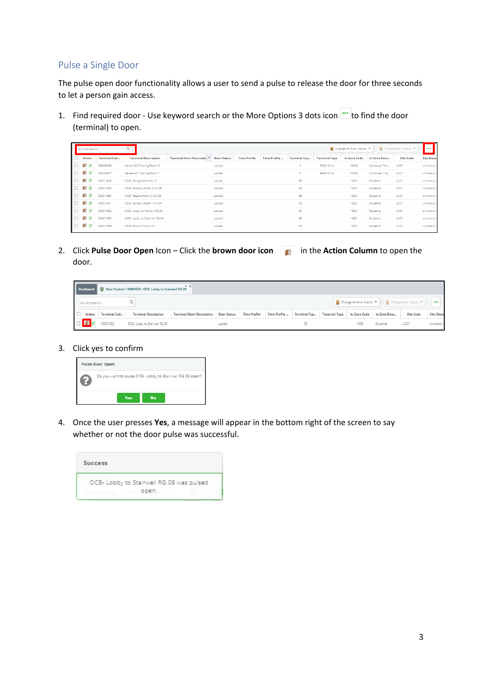## <span id="page-4-0"></span>Pulse a Single Door

The pulse open door functionality allows a user to send a pulse to release the door for three seconds to let a person gain access.

1. Find required door - Use keyword search or the More Options 3 dots icon  $\cdots$  to find the door (terminal) to open.

|     | Keyword search |                     | Q                             | Change Door Status<br>Change All Door Status<br>. |                    |                     |              |                     |                      |                     |               |                  |                   |  |
|-----|----------------|---------------------|-------------------------------|---------------------------------------------------|--------------------|---------------------|--------------|---------------------|----------------------|---------------------|---------------|------------------|-------------------|--|
| IС  | <b>Action</b>  | <b>Terminal Cod</b> | <b>Terminal Description</b>   | <b>Terminal Short Descriptic</b>                  | <b>Door Status</b> | <b>Time Profile</b> | Time Profile | <b>Terminal Typ</b> | <b>Terminal Type</b> | <b>In Zone Code</b> | In Zone Desc  | <b>Site Code</b> | <b>Site Descr</b> |  |
| ╹   |                | 00000066            | Kane-4.20 Training Room 2     |                                                   | Locked             |                     |              | 5                   | 9290 Child           | 16000               | Computer Trai | UCC1             | University 6      |  |
| ╹   |                | 00000067            | Kane-4.22 Training Room 1     |                                                   | Locked             |                     |              | ь.                  | 9290 Child           | 16000               | Computer Trai | UCC1             | University        |  |
| ╹   | 囪              | 00001828            | OCB- Eating Room RU.10        |                                                   | Locked             |                     |              | 55                  |                      | 1000                | Students      | UCC1             | University        |  |
| ╹   |                | 00001829            | OCB- Sensory Room 2 RU.06     |                                                   | Locked             |                     |              | 55                  |                      | 1000                | Students      | UCC1             | University        |  |
| Iσ  | П              | 00001830            | OCB- Respite Room 2 RU.08     |                                                   | Locked             |                     |              | 55                  |                      | 1000                | Students      | UCC1             | University        |  |
| ╹   |                | 00001831            | OCB- Sensory Room 1 RU.04     |                                                   | Locked             |                     |              | 55                  |                      | 1000                | Students      | UCC1             | University        |  |
| l O | 囪              | 00001832            | OCB- Lobby to Kitchen RG.06   |                                                   | Locked             |                     |              | 55                  |                      | 1000                | Students      | UCC1             | University        |  |
| ╹   |                | 00001833            | OCB- Lobby to Stairwell RG.09 |                                                   | Locked             |                     |              | 55                  |                      | 1000                | Students      | UCC1             | University (      |  |
| Iσ  |                | 00001834            | OCB- Ground Floor Lift        |                                                   | Locked             |                     |              | 55                  |                      | 1000                | Students      | UCC1             | University        |  |
|     |                |                     |                               |                                                   |                    |                     |              |                     |                      |                     |               |                  |                   |  |

2. Click **Pulse Door Open** Icon – Click the **brown door icon** in the **Action Column** to open the door.

| C Door Control / 00001833 - OCB- Lobby to Stairwell RG.09<br><b>Dashboard</b> |                                           |                             |                                               |  |                     |                      |                     |                      |                          |              |                      |                         |
|-------------------------------------------------------------------------------|-------------------------------------------|-----------------------------|-----------------------------------------------|--|---------------------|----------------------|---------------------|----------------------|--------------------------|--------------|----------------------|-------------------------|
| Keyword search                                                                |                                           |                             |                                               |  |                     |                      |                     |                      | ■ Change All Door Status |              | Change Door Status ▼ | $\bullet\bullet\bullet$ |
| <b>Action</b>                                                                 | <b>Terminal Cod</b>                       | <b>Terminal Description</b> | <b>Terminal Short Description Door Status</b> |  | <b>Time Profile</b> | <b>Time Profile </b> | <b>Terminal Typ</b> | <b>Terminal Type</b> | <b>In Zone Code</b>      | In Zone Desc | <b>Site Code</b>     | <b>Site Descr</b>       |
| $\Box$ $\Box$ $\Box$                                                          | 00001833<br>OCB- Lobby to Stairwell RG.09 |                             |                                               |  |                     |                      | 55                  |                      | 1000                     | Students     | UCC'                 | University (            |

3. Click yes to confirm

| Pulse Door Open |                                                          |  |  |  |  |  |  |  |  |
|-----------------|----------------------------------------------------------|--|--|--|--|--|--|--|--|
| ۱.              | Do you want to pulse OCB- Lobby to Stairwell RG.09 open? |  |  |  |  |  |  |  |  |
|                 | <b>Yes</b><br><b>No</b>                                  |  |  |  |  |  |  |  |  |

4. Once the user presses **Yes**, a message will appear in the bottom right of the screen to say whether or not the door pulse was successful.

| Success                                                                                    |  |
|--------------------------------------------------------------------------------------------|--|
| OCB- Lobby to Stairwell RG.09 was pulsed<br>Displaying 1 - 1 of <b>OPED</b> <sub>brs</sub> |  |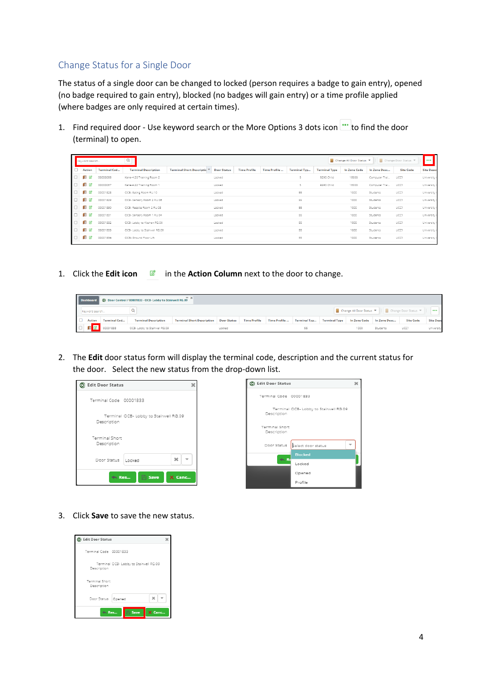## <span id="page-5-0"></span>Change Status for a Single Door

The status of a single door can be changed to locked (person requires a badge to gain entry), opened (no badge required to gain entry), blocked (no badges will gain entry) or a time profile applied (where badges are only required at certain times).

1. Find required door - Use keyword search or the More Options 3 dots icon  $\cdots$  to find the door (terminal) to open.

| ll     | Q<br>Keyword search |                     |                               |                                  |                    |                     |              |                     |                      |              | Change Door Status<br>Change All Door Status<br>. |                  |                   |  |  |
|--------|---------------------|---------------------|-------------------------------|----------------------------------|--------------------|---------------------|--------------|---------------------|----------------------|--------------|---------------------------------------------------|------------------|-------------------|--|--|
| ╹      | <b>Action</b>       | <b>Terminal Cod</b> | <b>Terminal Description</b>   | <b>Terminal Short Descriptic</b> | <b>Door Status</b> | <b>Time Profile</b> | Time Profile | <b>Terminal Typ</b> | <b>Terminal Type</b> | In Zone Code | In Zone Desc                                      | <b>Site Code</b> | <b>Site Descr</b> |  |  |
| $\Box$ |                     | 00000066            | Kane-4.20 Training Room 2     |                                  | Locked             |                     |              | 5                   | 9290 Child           | 16000        | Computer Trai                                     | UCC1             | University        |  |  |
| $\Box$ |                     | 00000067            | Kane-4.22 Training Room 1     |                                  | Locked             |                     |              | 5                   | 9290 Child           | 16000        | Computer Trai                                     | UCC1             | University        |  |  |
| $\Box$ | 12                  | 00001828            | OCB- Eating Room RU.10        |                                  | Locked             |                     |              | 55                  |                      | 1000         | Students                                          | UCC1             | University        |  |  |
| $\Box$ | Ø                   | 00001829            | OCB- Sensory Room 2 RU.06     |                                  | Locked             |                     |              | 55                  |                      | 1000         | Students                                          | UCC1             | University        |  |  |
| $\Box$ | Ø                   | 00001830            | OCB- Respite Room 2 RU.08     |                                  | Locked             |                     |              | 55                  |                      | 1000         | Students                                          | UCC1             | University        |  |  |
| $\Box$ | 啓                   | 00001831            | OCB- Sensory Room 1 RU.04     |                                  | Locked             |                     |              | 55                  |                      | 1000         | Students                                          | UCC1             | University        |  |  |
| $\Box$ | r2                  | 00001832            | OCB- Lobby to Kitchen RG.06   |                                  | Locked             |                     |              | 55                  |                      | 1000         | Students                                          | UCC1             | University        |  |  |
| $\Box$ | Ø                   | 00001833            | OCB- Lobby to Stairwell RG.09 |                                  | Locked             |                     |              | 55                  |                      | 1000         | Students                                          | UCC1             | University        |  |  |
| $\Box$ | Ø                   | 00001834            | OCB- Ground Floor Lift        |                                  | Locked             |                     |              | 55                  |                      | 1000         | Students                                          | UCC1             | University f      |  |  |

1. Click the **Edit icon in the Action Column** next to the door to change.

| $- x$<br>C Door Control / 00001833 - OCB- Lobby to Stairwell RG.09<br><b>Dashboard</b> |        |                     |                             |                                   |                    |                     |              |                     |                      |              |              |                  |                   |
|----------------------------------------------------------------------------------------|--------|---------------------|-----------------------------|-----------------------------------|--------------------|---------------------|--------------|---------------------|----------------------|--------------|--------------|------------------|-------------------|
| Change Door Status<br>■ Change All Door Status<br>Keyword search                       |        |                     |                             |                                   |                    |                     |              |                     | $\cdots$             |              |              |                  |                   |
|                                                                                        | Action | <b>Terminal Cod</b> | <b>Terminal Description</b> | <b>Terminal Short Description</b> | <b>Door Status</b> | <b>Time Profile</b> | Time Profile | <b>Terminal Typ</b> | <b>Terminal Type</b> | In Zone Code | In Zone Desc | <b>Site Code</b> | <b>Site Descr</b> |
| 00001833<br>OCB- Lobby to Stairwell RG.09<br>Locked                                    |        |                     |                             |                                   |                    |                     |              | 1000                | Students             | UCC1         | University   |                  |                   |

2. The **Edit** door status form will display the terminal code, description and the current status for the door. Select the new status from the drop-down list.



3. Click **Save** to save the new status.

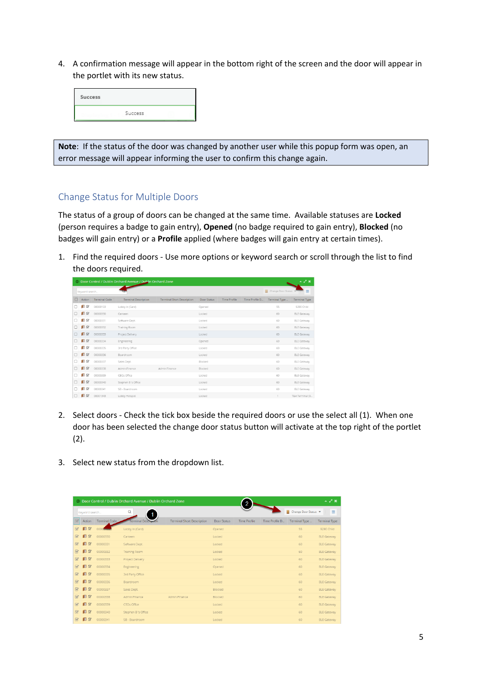4. A confirmation message will appear in the bottom right of the screen and the door will appear in the portlet with its new status.

| Success |         |  |
|---------|---------|--|
|         | Success |  |

**Note**: If the status of the door was changed by another user while this popup form was open, an error message will appear informing the user to confirm this change again.

### <span id="page-6-0"></span>Change Status for Multiple Doors

The status of a group of doors can be changed at the same time. Available statuses are **Locked** (person requires a badge to gain entry), **Opened** (no badge required to gain entry), **Blocked** (no badges will gain entry) or a **Profile** applied (where badges will gain entry at certain times).

1. Find the required doors - Use more options or keyword search or scroll through the list to find the doors required.

|        | - 2 x<br>© Door Control / Dublin Orchard Avenue / Dublin Orchard Zone |                      |                             |                                   |             |                     |                |                    |                      |  |  |  |  |  |
|--------|-----------------------------------------------------------------------|----------------------|-----------------------------|-----------------------------------|-------------|---------------------|----------------|--------------------|----------------------|--|--|--|--|--|
|        | Keyword search                                                        |                      |                             |                                   |             |                     |                | Change Door Status | $\equiv$             |  |  |  |  |  |
| $\Box$ | Action                                                                | <b>Terminal Code</b> | <b>Terminal Description</b> | <b>Terminal Short Description</b> | Door Status | <b>Time Profile</b> | Time Profile D | Terminal Type      | <b>Terminal Type</b> |  |  |  |  |  |
| n      | $\blacksquare$ $\alpha$                                               | 00000103             | Lobby In (Card)             |                                   | Opened      |                     |                | 55                 | 9290 Child           |  |  |  |  |  |
| п      | $\square$ $\square$                                                   | 00000330             | Canteen                     |                                   | Locked      |                     |                | 60                 | <b>BLE Gateway</b>   |  |  |  |  |  |
| Ω      | $\square$ $\alpha$                                                    | 00000331             | Software Dept.              |                                   | Locked      |                     |                | 60                 | <b>BLE Gateway</b>   |  |  |  |  |  |
| п      | $\square$                                                             | 00000332             | Training Room               |                                   | Locked      |                     |                | 60                 | <b>BLE Gateway</b>   |  |  |  |  |  |
|        | $\square$ $\alpha$                                                    | 00000333             | Project Delivery            |                                   | Locked      |                     |                | 60                 | <b>BLE Gateway</b>   |  |  |  |  |  |
| П      | $\square$                                                             | 00000334             | Engineering                 |                                   | Opened      |                     |                | 60                 | <b>BLE Gateway</b>   |  |  |  |  |  |
| □      | $\square$ $\alpha$                                                    | 00000335             | 3rd Party Office            |                                   | Locked      |                     |                | 60                 | <b>BLE Gateway</b>   |  |  |  |  |  |
| □      | $\blacksquare$                                                        | 00000336             | Boardroom                   |                                   | Locked      |                     |                | 60                 | <b>BLE Gateway</b>   |  |  |  |  |  |
| п      | $\blacksquare$                                                        | 00000337             | Sales Dept.                 |                                   | Blocked     |                     |                | 60                 | <b>BLE Gateway</b>   |  |  |  |  |  |
| □      | $\square$                                                             | 00000338             | Admin/Finance               | Admin/Finance                     | Blocked     |                     |                | 60                 | <b>BLE Gateway</b>   |  |  |  |  |  |
| n      | $\blacksquare$                                                        | 00000339             | CEOs Office                 |                                   | Locked      |                     |                | 60                 | <b>BLE Gateway</b>   |  |  |  |  |  |
| n      | $\square$ $\square$                                                   | 00000340             | Stephen B's Office          |                                   | Locked      |                     |                | 60                 | <b>BLE Gateway</b>   |  |  |  |  |  |
| n      | $\blacksquare$                                                        | 00000341             | SB - Boardroom              |                                   | Locked      |                     |                | 60                 | <b>BLE Gateway</b>   |  |  |  |  |  |
|        | $\square$                                                             | 00001343             | Lobby Hotspot               |                                   | Locked      |                     |                | $\mathbf{1}$       | T&A Terminal (9      |  |  |  |  |  |

- 2. Select doors Check the tick box beside the required doors or use the select all (1). When one door has been selected the change door status button will activate at the top right of the portlet (2).
- 3. Select new status from the dropdown list.

|                          |                            |               | O Door Control / Dublin Orchard Avenue / Dublin Orchard Zone |                                   |             | $\overline{2}$      |                |                    | - 2 x                |
|--------------------------|----------------------------|---------------|--------------------------------------------------------------|-----------------------------------|-------------|---------------------|----------------|--------------------|----------------------|
|                          | Keyword search             |               | Q                                                            |                                   |             |                     |                | Change Door Status | $\equiv$             |
| ☞                        | Action                     | Terminal Code |                                                              | <b>Terminal Short Description</b> | Door Status | <b>Time Profile</b> | Time Profile D | Terminal Type      | <b>Terminal Type</b> |
| $\overline{\mathcal{A}}$ | $\square$                  |               | Lobby In (Card)                                              |                                   | Opened      |                     |                | 55                 | 9290 Child           |
| $\overline{\mathcal{A}}$ | $\Box$ $\alpha$            | 00000330      | Canteen                                                      |                                   | Locked      |                     |                | 60                 | <b>BLE Gateway</b>   |
| $\boxtimes$              | $\square$                  | 00000331      | Software Dept.                                               |                                   | Locked      |                     |                | 60                 | <b>BLE Gateway</b>   |
| $\overline{\mathcal{A}}$ | $\square$                  | 00000332      | <b>Training Room</b>                                         |                                   | Locked      |                     |                | 60                 | <b>BLE Gateway</b>   |
| $\overline{\mathcal{A}}$ | $\square$                  | 00000333      | Project Delivery                                             |                                   | Locked      |                     |                | 60                 | <b>BLE Gateway</b>   |
| $\boxtimes$              | $\square$                  | 00000334      | <b>Engineering</b>                                           |                                   | Opened      |                     |                | 60                 | <b>BLE Gateway</b>   |
| $\overline{\mathcal{A}}$ | $\square$ $\alpha$         | 00000335      | <b>3rd Party Office</b>                                      |                                   | Locked      |                     |                | 60                 | <b>BLE Gateway</b>   |
| $\boxtimes$              | $\square$                  | 00000336      | Boardroom                                                    |                                   | Locked      |                     |                | 60                 | <b>BLE Gateway</b>   |
| $\sqrt{2}$               | $\blacksquare$<br>$\alpha$ | 00000337      | Sales Dept.                                                  |                                   | Blocked     |                     |                | 60                 | <b>BLE Gateway</b>   |
| $\overline{\mathcal{A}}$ | $\square$ $\square$        | 00000338      | Admin/Finance                                                | Admin/Finance                     | Blocked     |                     |                | 60                 | <b>BLE Gateway</b>   |
| $\boxtimes$              | $\square$                  | 00000339      | CEOs Office                                                  |                                   | Locked      |                     |                | 60                 | <b>BLE Gateway</b>   |
| $\overline{\mathcal{C}}$ | EZ                         | 00000340      | Stephen B's Office                                           |                                   | Locked      |                     |                | 60                 | <b>BLE Gateway</b>   |
| $\triangledown$          | n<br>$\alpha$              | 00000341      | SB - Boardroom                                               |                                   | Locked      |                     |                | 60                 | <b>BLE Gateway</b>   |